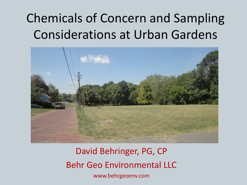### Chemicals of Concern and Sampling Considerations at Urban Gardens



David Behringer, PG, CP Behr Geo Environmental LLC www.behrgeoenv.com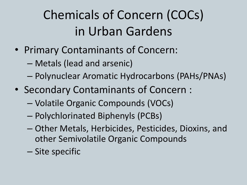## Chemicals of Concern (COCs) in Urban Gardens

- Primary Contaminants of Concern:
	- Metals (lead and arsenic)
	- Polynuclear Aromatic Hydrocarbons (PAHs/PNAs)
- Secondary Contaminants of Concern :
	- Volatile Organic Compounds (VOCs)
	- Polychlorinated Biphenyls (PCBs)
	- Other Metals, Herbicides, Pesticides, Dioxins, and other Semivolatile Organic Compounds
	- Site specific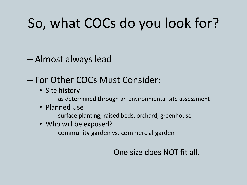## So, what COCs do you look for?

– Almost always lead

#### – For Other COCs Must Consider:

- Site history
	- as determined through an environmental site assessment
- Planned Use
	- surface planting, raised beds, orchard, greenhouse
- Who will be exposed?
	- community garden vs. commercial garden

#### One size does NOT fit all.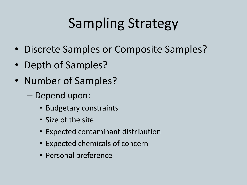## Sampling Strategy

- Discrete Samples or Composite Samples?
- Depth of Samples?
- Number of Samples?
	- Depend upon:
		- Budgetary constraints
		- Size of the site
		- Expected contaminant distribution
		- Expected chemicals of concern
		- Personal preference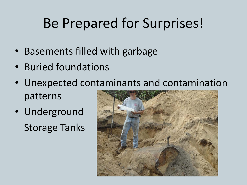## Be Prepared for Surprises!

- Basements filled with garbage
- Buried foundations
- Unexpected contaminants and contamination patterns
- Underground Storage Tanks

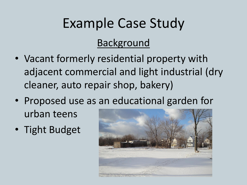# Example Case Study

### Background

- Vacant formerly residential property with adjacent commercial and light industrial (dry cleaner, auto repair shop, bakery)
- Proposed use as an educational garden for urban teens
- Tight Budget

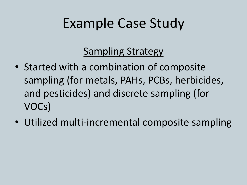### Example Case Study

### Sampling Strategy

- Started with a combination of composite sampling (for metals, PAHs, PCBs, herbicides, and pesticides) and discrete sampling (for VOCs)
- Utilized multi-incremental composite sampling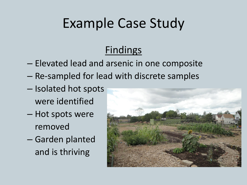## Example Case Study

### Findings

- Elevated lead and arsenic in one composite
- Re-sampled for lead with discrete samples
- Isolated hot spots were identified
- Hot spots were removed
- Garden planted and is thriving